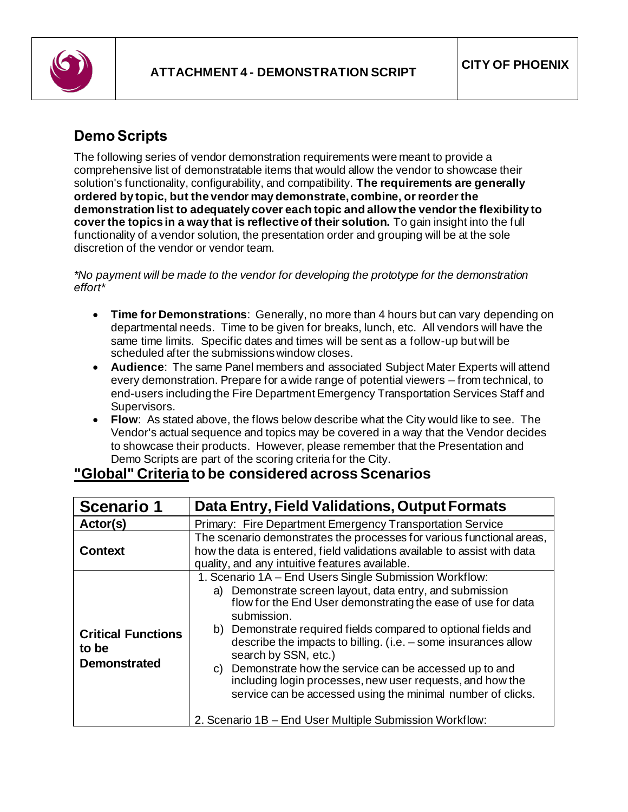

## **Demo Scripts**

The following series of vendor demonstration requirements were meant to provide a comprehensive list of demonstratable items that would allow the vendor to showcase their solution's functionality, configurability, and compatibility. **The requirements are generally ordered by topic, but the vendor may demonstrate, combine, or reorder the demonstration list to adequately cover each topic and allow the vendor the flexibility to cover the topics in a way that is reflective of their solution.** To gain insight into the full functionality of a vendor solution, the presentation order and grouping will be at the sole discretion of the vendor or vendor team.

*\*No payment will be made to the vendor for developing the prototype for the demonstration effort\**

- **Time for Demonstrations**: Generally, no more than 4 hours but can vary depending on departmental needs. Time to be given for breaks, lunch, etc. All vendors will have the same time limits. Specific dates and times will be sent as a follow-up but will be scheduled after the submissions window closes.
- **Audience**: The same Panel members and associated Subject Mater Experts will attend every demonstration. Prepare for a wide range of potential viewers – from technical, to end-users including the Fire Department Emergency Transportation Services Staff and Supervisors.
- **Flow**: As stated above, the flows below describe what the City would like to see. The Vendor's actual sequence and topics may be covered in a way that the Vendor decides to showcase their products. However, please remember that the Presentation and Demo Scripts are part of the scoring criteria for the City.

| <b>Scenario 1</b>                                         | Data Entry, Field Validations, Output Formats                                                                                                                                                                                                                                                                                                                                                                                                                                                                                                                                                                            |
|-----------------------------------------------------------|--------------------------------------------------------------------------------------------------------------------------------------------------------------------------------------------------------------------------------------------------------------------------------------------------------------------------------------------------------------------------------------------------------------------------------------------------------------------------------------------------------------------------------------------------------------------------------------------------------------------------|
| Actor(s)                                                  | Primary: Fire Department Emergency Transportation Service                                                                                                                                                                                                                                                                                                                                                                                                                                                                                                                                                                |
| <b>Context</b>                                            | The scenario demonstrates the processes for various functional areas,<br>how the data is entered, field validations available to assist with data<br>quality, and any intuitive features available.                                                                                                                                                                                                                                                                                                                                                                                                                      |
| <b>Critical Functions</b><br>to be<br><b>Demonstrated</b> | 1. Scenario 1A - End Users Single Submission Workflow:<br>Demonstrate screen layout, data entry, and submission<br>a)<br>flow for the End User demonstrating the ease of use for data<br>submission.<br>b) Demonstrate required fields compared to optional fields and<br>describe the impacts to billing. (i.e. $-$ some insurances allow<br>search by SSN, etc.)<br>Demonstrate how the service can be accessed up to and<br>C)<br>including login processes, new user requests, and how the<br>service can be accessed using the minimal number of clicks.<br>2. Scenario 1B - End User Multiple Submission Workflow: |

## **"Global" Criteria to be considered across Scenarios**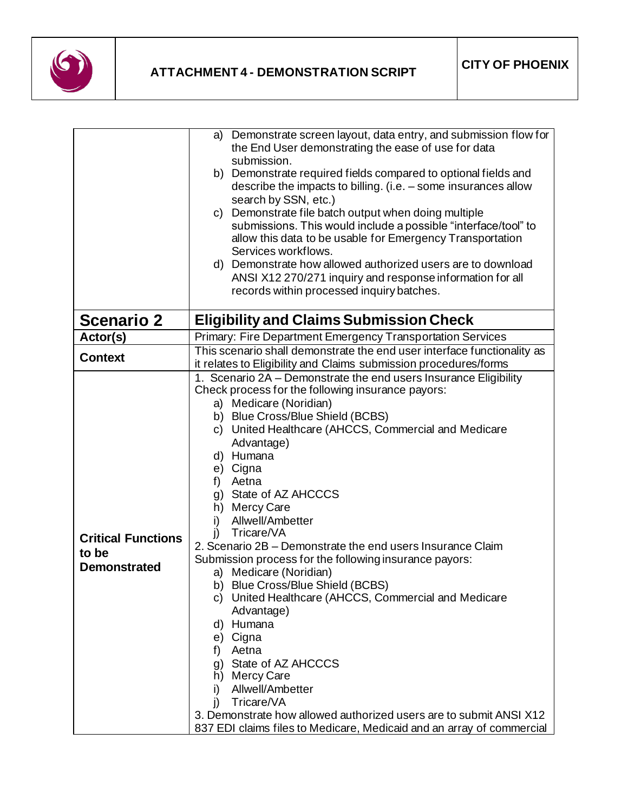

|                                                           | Demonstrate screen layout, data entry, and submission flow for<br>a)    |
|-----------------------------------------------------------|-------------------------------------------------------------------------|
|                                                           | the End User demonstrating the ease of use for data                     |
|                                                           | submission.                                                             |
|                                                           | b) Demonstrate required fields compared to optional fields and          |
|                                                           | describe the impacts to billing. (i.e. – some insurances allow          |
|                                                           | search by SSN, etc.)                                                    |
|                                                           |                                                                         |
|                                                           | c) Demonstrate file batch output when doing multiple                    |
|                                                           | submissions. This would include a possible "interface/tool" to          |
|                                                           | allow this data to be usable for Emergency Transportation               |
|                                                           | Services workflows.                                                     |
|                                                           | d) Demonstrate how allowed authorized users are to download             |
|                                                           | ANSI X12 270/271 inquiry and response information for all               |
|                                                           | records within processed inquiry batches.                               |
| <b>Scenario 2</b>                                         | <b>Eligibility and Claims Submission Check</b>                          |
|                                                           |                                                                         |
| Actor(s)                                                  | Primary: Fire Department Emergency Transportation Services              |
| <b>Context</b>                                            | This scenario shall demonstrate the end user interface functionality as |
|                                                           | it relates to Eligibility and Claims submission procedures/forms        |
|                                                           | 1. Scenario 2A - Demonstrate the end users Insurance Eligibility        |
|                                                           | Check process for the following insurance payors:                       |
|                                                           | a) Medicare (Noridian)                                                  |
|                                                           | b) Blue Cross/Blue Shield (BCBS)                                        |
|                                                           | c) United Healthcare (AHCCS, Commercial and Medicare                    |
|                                                           | Advantage)                                                              |
|                                                           | d) Humana                                                               |
|                                                           | e) Cigna                                                                |
|                                                           | f) Aetna                                                                |
|                                                           | g) State of AZ AHCCCS                                                   |
|                                                           |                                                                         |
| <b>Critical Functions</b><br>to be<br><b>Demonstrated</b> | h) Mercy Care                                                           |
|                                                           | Allwell/Ambetter<br>i)                                                  |
|                                                           | i)<br>Tricare/VA                                                        |
|                                                           | 2. Scenario 2B – Demonstrate the end users Insurance Claim              |
|                                                           | Submission process for the following insurance payors:                  |
|                                                           | a) Medicare (Noridian)                                                  |
|                                                           | b) Blue Cross/Blue Shield (BCBS)                                        |
|                                                           | c) United Healthcare (AHCCS, Commercial and Medicare                    |
|                                                           | Advantage)                                                              |
|                                                           | d) Humana                                                               |
|                                                           | e) Cigna                                                                |
|                                                           | Aetna<br>f)                                                             |
|                                                           | g) State of AZ AHCCCS                                                   |
|                                                           | h) Mercy Care                                                           |
|                                                           | Allwell/Ambetter<br>i)                                                  |
|                                                           | Tricare/VA<br>j)                                                        |
|                                                           |                                                                         |
|                                                           | 3. Demonstrate how allowed authorized users are to submit ANSI X12      |
|                                                           | 837 EDI claims files to Medicare, Medicaid and an array of commercial   |